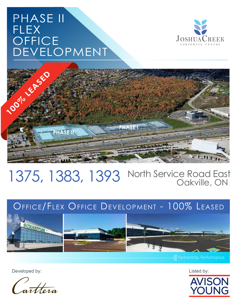# PHASE II FLEX **OFFICE** DEVELOPMENT





## 1375, 1383, 1393 North Service Road East Oakville, ON

## Office/Flex Office Development - 100% Leased



HIL Partnership. Performance.

Developed by: Listed by:



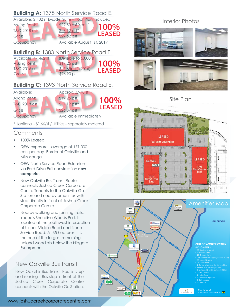

### **Comments**

- 100% Leased
- QEW exposure average of 171,000 cars per day. Border of Oakville and Mississauga.
- QEW North Service Road Extension via Ford Drive Exit construction **now complete.**
- New Oakville Bus Transit Route connects Joshua Creek Corporate Centre Tenants to the Oakville Go Station and nearby amenities with stop directly in front of Joshua Creek Corporate Centre.
- Nearby walking and running trails, Iroquois Shoreline Woods Park is located at the southwest intersection of Upper Middle Road and North Service Road. At 35 hectares, it is the one of the largest remaining upland woodlots below the Niagara Escarpment.

### New Oakville Bus Transit

New Oakville Bus Transit Route is up and running - Bus stop in front of the Joshua Creek Corporate Centre connects with the Oakville Go Station.

### Interior Photos





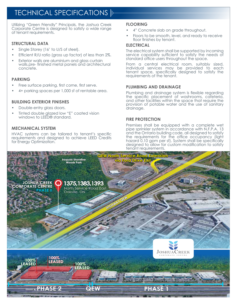## **TECHNICAL SPECIFICATIONS**

Utilizing "Green Friendly" Principals, the Joshua Creek Corporate Centre is designed to satisfy a wide range of tenant requirements.

#### **STRUCTURAL DATA**

- Single Storey (16' to U/S of steel).
- Efficient R/U ratio (gross up factor) of less than 2%.
- Exterior walls are aluminium and alass curtain walls,pre- finished metal panels and architectural concrete.

#### **PARKING**

- Free surface parking, first come, first serve.
- 4+ parking spaces per 1,000 sf of rentable area.

#### **BUILDING EXTERIOR FINISHES**

- Double-entry glass doors.
- Tinted double glazed low "E" coated vision windows to LEED® standard.

#### **MECHANICAL SYSTEM**

HVAC systems can be tailored to tenant's specific requirements and designed to achieve LEED Credits for Energy Optimization.

#### **FLOORING**

- 4" Concrete slab on grade throughout.
- Floors to be smooth, level, and ready to receive floor finishes by tenant.

#### **ELECTRICAL**

The electrical system shall be supported by incoming service capability sufficient to satisfy the needs of standard office users throughout the space.

From a central electrical room, suitably sized, individual services may be provided to each tenant space, specifically designed to satisfy the requirements of the tenant.

#### **PLUMBING AND DRAINAGE**

Plumbing and drainage system is flexible regarding the specific placement of washrooms, cafeteria, and other facilities within the space that require the provision of potable water and the use of sanitary drainage.

#### **FIRE PROTECTION**

Premises shall be equipped with a complete wet pipe sprinkler system in accordance with N.F.P.A. 13 and the Ontario building code, all designed to satisfy the requirements for the office occupancy (light hazard 0.10 gpm per sf). System shall be specifically designed to allow for custom modification to satisfy tenant requirements.